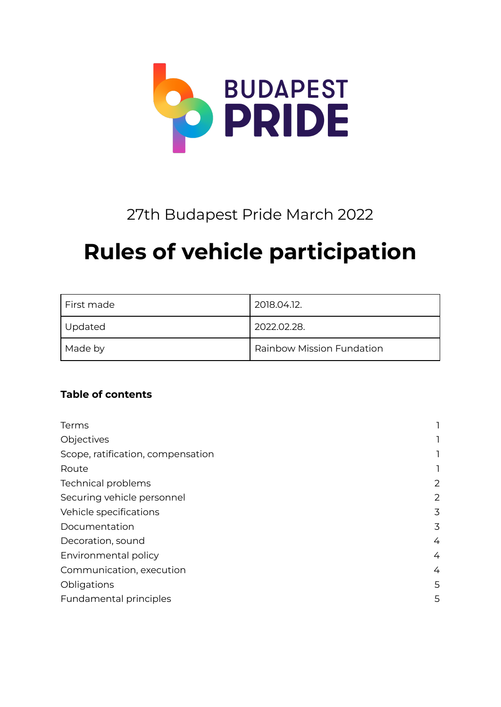

# 27th Budapest Pride March 2022

# **Rules of vehicle participation**

| First made | 2018.04.12.                      |
|------------|----------------------------------|
| Updated    | 2022.02.28.                      |
| Made by    | <b>Rainbow Mission Fundation</b> |

# **Table of contents**

| Terms                             |   |
|-----------------------------------|---|
| Objectives                        |   |
| Scope, ratification, compensation |   |
| Route                             |   |
| <b>Technical problems</b>         | 2 |
| Securing vehicle personnel        | 2 |
| Vehicle specifications            | 3 |
| Documentation                     | 3 |
| Decoration, sound                 | 4 |
| Environmental policy              | 4 |
| Communication, execution          | 4 |
| Obligations                       | 5 |
| Fundamental principles            | 5 |
|                                   |   |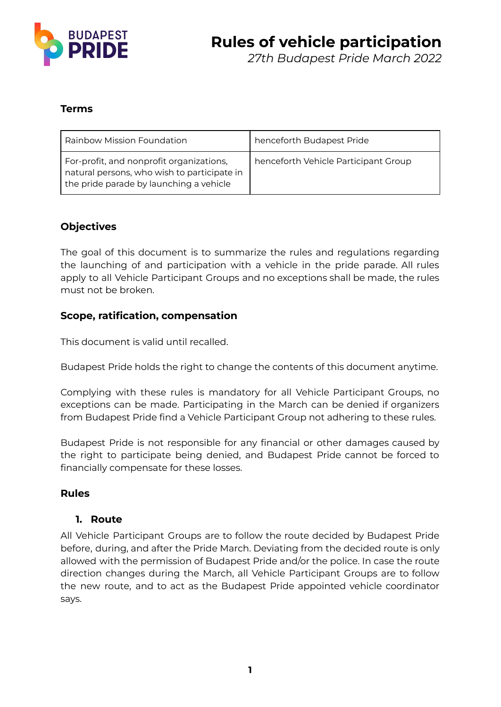

#### <span id="page-1-0"></span>**Terms**

| Rainbow Mission Foundation                                                                                                         | henceforth Budapest Pride            |
|------------------------------------------------------------------------------------------------------------------------------------|--------------------------------------|
| For-profit, and nonprofit organizations,<br>natural persons, who wish to participate in<br>the pride parade by launching a vehicle | henceforth Vehicle Participant Group |

#### <span id="page-1-1"></span>**Objectives**

The goal of this document is to summarize the rules and regulations regarding the launching of and participation with a vehicle in the pride parade. All rules apply to all Vehicle Participant Groups and no exceptions shall be made, the rules must not be broken.

#### <span id="page-1-2"></span>**Scope, ratification, compensation**

This document is valid until recalled.

Budapest Pride holds the right to change the contents of this document anytime.

Complying with these rules is mandatory for all Vehicle Participant Groups, no exceptions can be made. Participating in the March can be denied if organizers from Budapest Pride find a Vehicle Participant Group not adhering to these rules.

Budapest Pride is not responsible for any financial or other damages caused by the right to participate being denied, and Budapest Pride cannot be forced to financially compensate for these losses.

#### <span id="page-1-3"></span>**Rules**

#### **1. Route**

All Vehicle Participant Groups are to follow the route decided by Budapest Pride before, during, and after the Pride March. Deviating from the decided route is only allowed with the permission of Budapest Pride and/or the police. In case the route direction changes during the March, all Vehicle Participant Groups are to follow the new route, and to act as the Budapest Pride appointed vehicle coordinator says.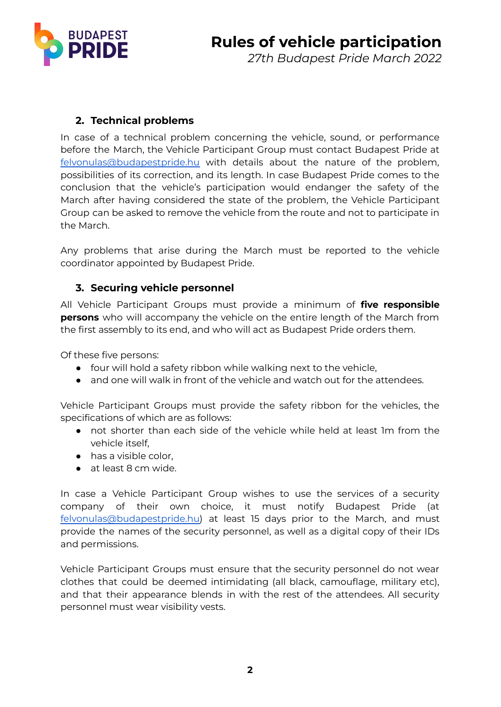

# <span id="page-2-0"></span>**2. Technical problems**

In case of a technical problem concerning the vehicle, sound, or performance before the March, the Vehicle Participant Group must contact Budapest Pride at [felvonulas@budapestpride.hu](mailto:felvonulas@budapestpride.hu) with details about the nature of the problem, possibilities of its correction, and its length. In case Budapest Pride comes to the conclusion that the vehicle's participation would endanger the safety of the March after having considered the state of the problem, the Vehicle Participant Group can be asked to remove the vehicle from the route and not to participate in the March.

Any problems that arise during the March must be reported to the vehicle coordinator appointed by Budapest Pride.

#### <span id="page-2-1"></span>**3. Securing vehicle personnel**

All Vehicle Participant Groups must provide a minimum of **five responsible persons** who will accompany the vehicle on the entire length of the March from the first assembly to its end, and who will act as Budapest Pride orders them.

Of these five persons:

- four will hold a safety ribbon while walking next to the vehicle.
- and one will walk in front of the vehicle and watch out for the attendees.

Vehicle Participant Groups must provide the safety ribbon for the vehicles, the specifications of which are as follows:

- not shorter than each side of the vehicle while held at least 1m from the vehicle itself,
- has a visible color,
- at least 8 cm wide.

In case a Vehicle Participant Group wishes to use the services of a security company of their own choice, it must notify Budapest Pride (at [felvonulas@budapestpride.hu\)](mailto:felvonulas@budapestpride.hu) at least 15 days prior to the March, and must provide the names of the security personnel, as well as a digital copy of their IDs and permissions.

Vehicle Participant Groups must ensure that the security personnel do not wear clothes that could be deemed intimidating (all black, camouflage, military etc), and that their appearance blends in with the rest of the attendees. All security personnel must wear visibility vests.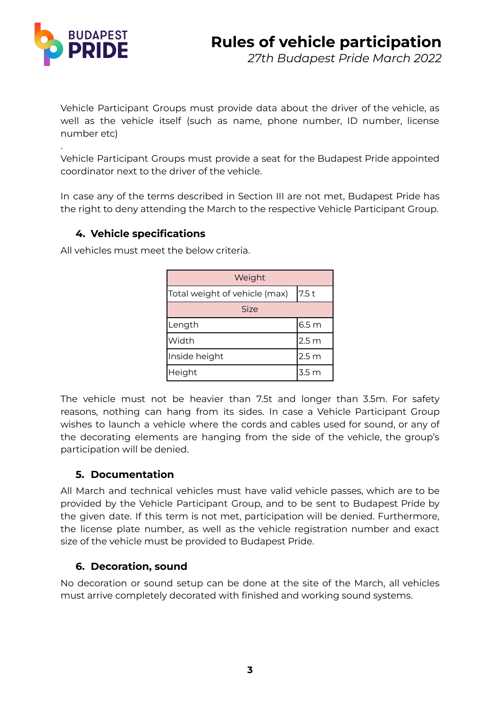

.

Vehicle Participant Groups must provide data about the driver of the vehicle, as well as the vehicle itself (such as name, phone number, ID number, license number etc)

Vehicle Participant Groups must provide a seat for the Budapest Pride appointed coordinator next to the driver of the vehicle.

In case any of the terms described in Section III are not met, Budapest Pride has the right to deny attending the March to the respective Vehicle Participant Group.

# <span id="page-3-0"></span>**4. Vehicle specifications**

Weight Total weight of vehicle (max) 7.5 t Size Length  $\vert$  6.5 m Width 2.5 m Inside height 2.5 m Height 3.5 m

All vehicles must meet the below criteria.

The vehicle must not be heavier than 7.5t and longer than 3.5m. For safety reasons, nothing can hang from its sides. In case a Vehicle Participant Group wishes to launch a vehicle where the cords and cables used for sound, or any of the decorating elements are hanging from the side of the vehicle, the group's participation will be denied.

# <span id="page-3-1"></span>**5. Documentation**

All March and technical vehicles must have valid vehicle passes, which are to be provided by the Vehicle Participant Group, and to be sent to Budapest Pride by the given date. If this term is not met, participation will be denied. Furthermore, the license plate number, as well as the vehicle registration number and exact size of the vehicle must be provided to Budapest Pride.

# <span id="page-3-2"></span>**6. Decoration, sound**

No decoration or sound setup can be done at the site of the March, all vehicles must arrive completely decorated with finished and working sound systems.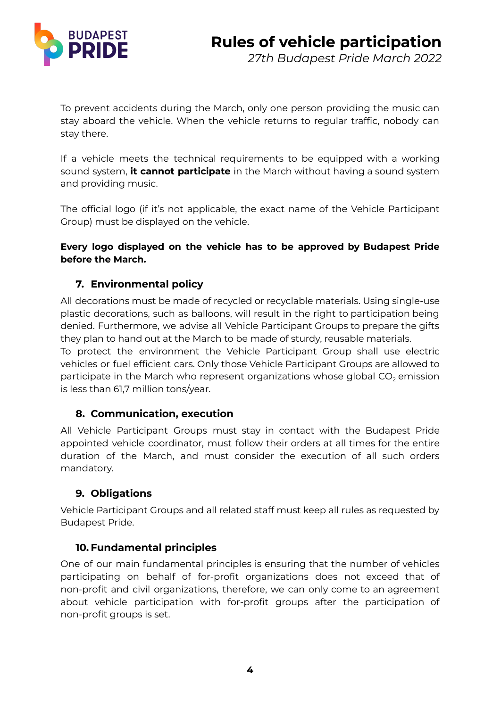

To prevent accidents during the March, only one person providing the music can stay aboard the vehicle. When the vehicle returns to regular traffic, nobody can stay there.

If a vehicle meets the technical requirements to be equipped with a working sound system, **it cannot participate** in the March without having a sound system and providing music.

The official logo (if it's not applicable, the exact name of the Vehicle Participant Group) must be displayed on the vehicle.

#### **Every logo displayed on the vehicle has to be approved by Budapest Pride before the March.**

# <span id="page-4-0"></span>**7. Environmental policy**

All decorations must be made of recycled or recyclable materials. Using single-use plastic decorations, such as balloons, will result in the right to participation being denied. Furthermore, we advise all Vehicle Participant Groups to prepare the gifts they plan to hand out at the March to be made of sturdy, reusable materials.

To protect the environment the Vehicle Participant Group shall use electric vehicles or fuel efficient cars. Only those Vehicle Participant Groups are allowed to participate in the March who represent organizations whose global  $CO<sub>2</sub>$  emission is less than 61,7 million tons/year.

#### <span id="page-4-1"></span>**8. Communication, execution**

All Vehicle Participant Groups must stay in contact with the Budapest Pride appointed vehicle coordinator, must follow their orders at all times for the entire duration of the March, and must consider the execution of all such orders mandatory.

# <span id="page-4-2"></span>**9. Obligations**

Vehicle Participant Groups and all related staff must keep all rules as requested by Budapest Pride.

#### <span id="page-4-3"></span>**10. Fundamental principles**

One of our main fundamental principles is ensuring that the number of vehicles participating on behalf of for-profit organizations does not exceed that of non-profit and civil organizations, therefore, we can only come to an agreement about vehicle participation with for-profit groups after the participation of non-profit groups is set.